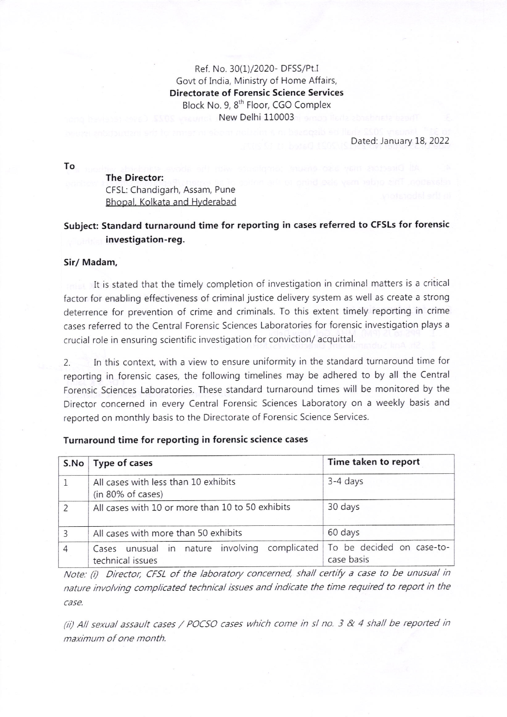Ref. No. 30(1)/2020- DFSS/Pt.I Govt of India, Ministry of Home Affairs, Directorate of Forensic Science Services Block No.9, 8'h Floor, CGO Complex New Delhi 110003

Dated: January 18, 2022

To

The Director: <sup>C</sup>FSL: Chandigarh, Assam, Pune Bhopal. Kolkata and Hyderabad

## Subject: Standard turnaround time for reporting in cases referred to CFSLS for forensic investigation-reg.

## Sir/ Madam,

It is stated that the timely completion of investigation in criminal matters is a critical factor for enabling effectiveness of criminal justice delivery system as well as create a strong deterrence for prevention of crime and criminals. To this extent timely reporting in crime cases referred to the Central Forensic Sciences Laboratories for forensic investigation plays <sup>a</sup> crucial role in ensuring scientific investigation for conviction/ acquittal.

2. In this context, with a view to ensure uniformity in the standard turnaround time for reporting in forensic cases, the following timelines may be adhered to by all the Central Forensic Sciences Laboratories. These standard turnaround times will be monitored by the Director concerned in every Central Forensic Sciences Laboratory on a weekly basis and reported on monthly basis to the Directorate of Forensic Science Services.

| S.No           | Type of cases                                                     | Time taken to report                    |
|----------------|-------------------------------------------------------------------|-----------------------------------------|
|                | All cases with less than 10 exhibits<br>(in 80% of cases)         | 3-4 days                                |
| 2              | All cases with 10 or more than 10 to 50 exhibits                  | 30 days                                 |
| 3              | All cases with more than 50 exhibits                              | 60 days                                 |
| $\overline{4}$ | Cases unusual in nature involving complicated<br>technical issues | To be decided on case-to-<br>case basis |

## Turnaround time for reporting in forensic science cases

Note: (i) Director, CFSL of the laboratory concerned, shall certify a case to be unusual in nature invo/ving complicated technical issues and indicate the time required to report in the case.

(ii) All sexual assault cases / POCSO cases which come in sl no. 3 & 4 shall be reported in maximum of one month.